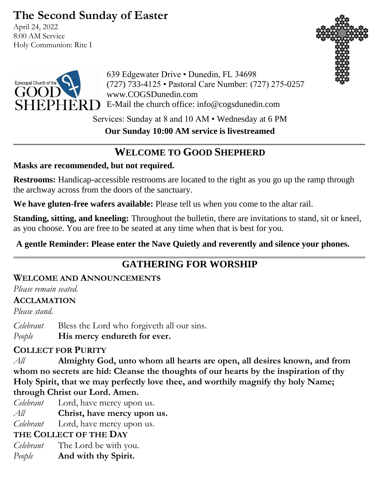# **The Second Sunday of Easter**

April 24, 2022 8:00 AM Service Holy Communion: Rite I





639 Edgewater Drive • Dunedin, FL 34698 (727) 733-4125 • Pastoral Care Number: (727) 275-0257 www.COGSDunedin.com  $PHRD$  E-Mail the church office: info@cogsdunedin.com

Services: Sunday at 8 and 10 AM • Wednesday at 6 PM

**Our Sunday 10:00 AM service is livestreamed**

# **WELCOME TO GOOD SHEPHERD**

## **Masks are recommended, but not required.**

**Restrooms:** Handicap-accessible restrooms are located to the right as you go up the ramp through the archway across from the doors of the sanctuary.

**We have gluten-free wafers available:** Please tell us when you come to the altar rail.

**Standing, sitting, and kneeling:** Throughout the bulletin, there are invitations to stand, sit or kneel, as you choose. You are free to be seated at any time when that is best for you.

**A gentle Reminder: Please enter the Nave Quietly and reverently and silence your phones.**

# **GATHERING FOR WORSHIP**

## **WELCOME AND ANNOUNCEMENTS**

*Please remain seated.*

## **ACCLAMATION**

*Please stand.*

*Celebrant* Bless the Lord who forgiveth all our sins.

*People* **His mercy endureth for ever.**

## **COLLECT FOR PURITY**

*All* **Almighty God, unto whom all hearts are open, all desires known, and from whom no secrets are hid: Cleanse the thoughts of our hearts by the inspiration of thy Holy Spirit, that we may perfectly love thee, and worthily magnify thy holy Name; through Christ our Lord. Amen.**

*Celebrant* Lord, have mercy upon us.

*All* **Christ, have mercy upon us.**

*Celebrant* Lord, have mercy upon us.

## **THE COLLECT OF THE DAY**

*Celebrant* The Lord be with you.

*People* **And with thy Spirit.**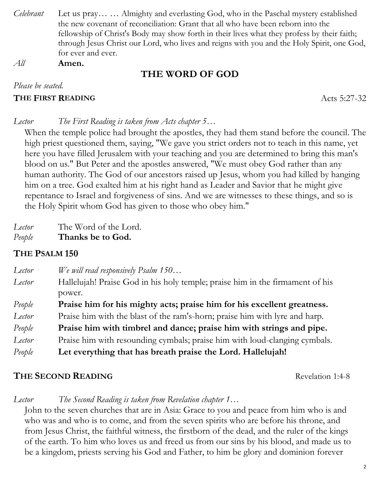- *Celebrant* Let us pray… … Almighty and everlasting God, who in the Paschal mystery established the new covenant of reconciliation: Grant that all who have been reborn into the fellowship of Christ's Body may show forth in their lives what they profess by their faith; through Jesus Christ our Lord, who lives and reigns with you and the Holy Spirit, one God, for ever and ever.
- *All* **Amen.**

#### **THE WORD OF GOD**

*Please be seated.*

#### **THE FIRST READING** Acts 5:27-32

#### *Lector The First Reading is taken from Acts chapter 5…*

When the temple police had brought the apostles, they had them stand before the council. The high priest questioned them, saying, "We gave you strict orders not to teach in this name, yet here you have filled Jerusalem with your teaching and you are determined to bring this man's blood on us." But Peter and the apostles answered, "We must obey God rather than any human authority. The God of our ancestors raised up Jesus, whom you had killed by hanging him on a tree. God exalted him at his right hand as Leader and Savior that he might give repentance to Israel and forgiveness of sins. And we are witnesses to these things, and so is the Holy Spirit whom God has given to those who obey him."

*Lector* The Word of the Lord.

*People* **Thanks be to God.**

#### **THE PSALM 150**

*Lector We will read responsively Psalm 150… Lector* Hallelujah! Praise God in his holy temple; praise him in the firmament of his power. *People* **Praise him for his mighty acts; praise him for his excellent greatness.** *Lector* Praise him with the blast of the ram's-horn; praise him with lyre and harp. *People* **Praise him with timbrel and dance; praise him with strings and pipe.** *Lector* Praise him with resounding cymbals; praise him with loud-clanging cymbals. *People* **Let everything that has breath praise the Lord. Hallelujah!**

## **THE SECOND READING** Revelation 1:4-8

*Lector The Second Reading is taken from Revelation chapter 1…*

John to the seven churches that are in Asia: Grace to you and peace from him who is and who was and who is to come, and from the seven spirits who are before his throne, and from Jesus Christ, the faithful witness, the firstborn of the dead, and the ruler of the kings of the earth. To him who loves us and freed us from our sins by his blood, and made us to be a kingdom, priests serving his God and Father, to him be glory and dominion forever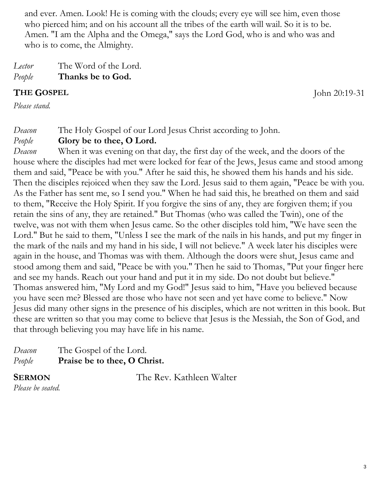and ever. Amen. Look! He is coming with the clouds; every eye will see him, even those who pierced him; and on his account all the tribes of the earth will wail. So it is to be. Amen. "I am the Alpha and the Omega," says the Lord God, who is and who was and who is to come, the Almighty.

*Lector* The Word of the Lord. *People* **Thanks be to God.**

## **THE GOSPEL** John 20:19-31

*Please stand.*

# *Deacon* The Holy Gospel of our Lord Jesus Christ according to John.

## *People* **Glory be to thee, O Lord.**

*Deacon* When it was evening on that day, the first day of the week, and the doors of the house where the disciples had met were locked for fear of the Jews, Jesus came and stood among them and said, "Peace be with you." After he said this, he showed them his hands and his side. Then the disciples rejoiced when they saw the Lord. Jesus said to them again, "Peace be with you. As the Father has sent me, so I send you." When he had said this, he breathed on them and said to them, "Receive the Holy Spirit. If you forgive the sins of any, they are forgiven them; if you retain the sins of any, they are retained." But Thomas (who was called the Twin), one of the twelve, was not with them when Jesus came. So the other disciples told him, "We have seen the Lord." But he said to them, "Unless I see the mark of the nails in his hands, and put my finger in the mark of the nails and my hand in his side, I will not believe." A week later his disciples were again in the house, and Thomas was with them. Although the doors were shut, Jesus came and stood among them and said, "Peace be with you." Then he said to Thomas, "Put your finger here and see my hands. Reach out your hand and put it in my side. Do not doubt but believe." Thomas answered him, "My Lord and my God!" Jesus said to him, "Have you believed because you have seen me? Blessed are those who have not seen and yet have come to believe." Now Jesus did many other signs in the presence of his disciples, which are not written in this book. But these are written so that you may come to believe that Jesus is the Messiah, the Son of God, and that through believing you may have life in his name.

## *Deacon* The Gospel of the Lord. *People* **Praise be to thee, O Christ.**

**SERMON** The Rev. Kathleen Walter

*Please be seated.*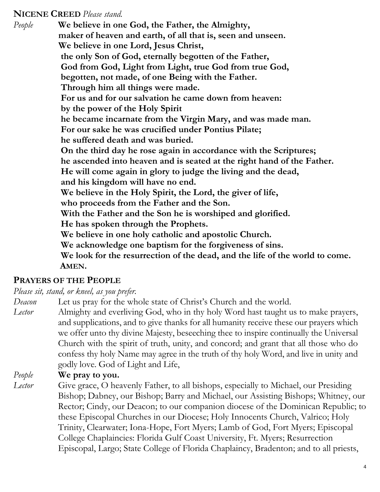#### **NICENE CREED** *Please stand.*

*People* **We believe in one God, the Father, the Almighty, maker of heaven and earth, of all that is, seen and unseen. We believe in one Lord, Jesus Christ, the only Son of God, eternally begotten of the Father, God from God, Light from Light, true God from true God, begotten, not made, of one Being with the Father. Through him all things were made. For us and for our salvation he came down from heaven: by the power of the Holy Spirit he became incarnate from the Virgin Mary, and was made man. For our sake he was crucified under Pontius Pilate; he suffered death and was buried. On the third day he rose again in accordance with the Scriptures; he ascended into heaven and is seated at the right hand of the Father. He will come again in glory to judge the living and the dead, and his kingdom will have no end. We believe in the Holy Spirit, the Lord, the giver of life, who proceeds from the Father and the Son. With the Father and the Son he is worshiped and glorified. He has spoken through the Prophets. We believe in one holy catholic and apostolic Church. We acknowledge one baptism for the forgiveness of sins. We look for the resurrection of the dead, and the life of the world to come. AMEN.**

#### **PRAYERS OF THE PEOPLE**

#### *Please sit, stand, or kneel, as you prefer.*

*Deacon* Let us pray for the whole state of Christ's Church and the world.

*Lector* Almighty and everliving God, who in thy holy Word hast taught us to make prayers, and supplications, and to give thanks for all humanity receive these our prayers which we offer unto thy divine Majesty, beseeching thee to inspire continually the Universal Church with the spirit of truth, unity, and concord; and grant that all those who do confess thy holy Name may agree in the truth of thy holy Word, and live in unity and godly love. God of Light and Life,

*People* **We pray to you.**

*Lector* Give grace, O heavenly Father, to all bishops, especially to Michael, our Presiding Bishop; Dabney, our Bishop; Barry and Michael, our Assisting Bishops; Whitney, our Rector; Cindy, our Deacon; to our companion diocese of the Dominican Republic; to these Episcopal Churches in our Diocese; Holy Innocents Church, Valrico; Holy Trinity, Clearwater; Iona-Hope, Fort Myers; Lamb of God, Fort Myers; Episcopal College Chaplaincies: Florida Gulf Coast University, Ft. Myers; Resurrection Episcopal, Largo; State College of Florida Chaplaincy, Bradenton; and to all priests,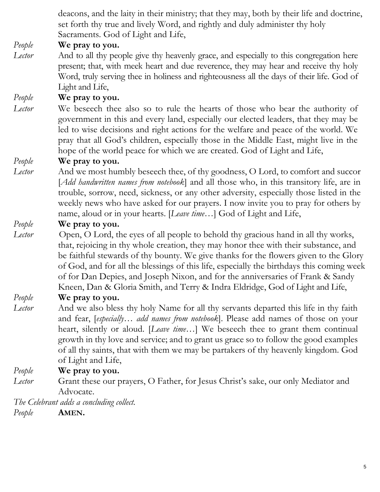deacons, and the laity in their ministry; that they may, both by their life and doctrine, set forth thy true and lively Word, and rightly and duly administer thy holy Sacraments. God of Light and Life,

## *People* **We pray to you.**

*Lector* And to all thy people give thy heavenly grace, and especially to this congregation here present; that, with meek heart and due reverence, they may hear and receive thy holy Word, truly serving thee in holiness and righteousness all the days of their life. God of Light and Life,

#### *People* **We pray to you.**

*Lector* We beseech thee also so to rule the hearts of those who bear the authority of government in this and every land, especially our elected leaders, that they may be led to wise decisions and right actions for the welfare and peace of the world. We pray that all God's children, especially those in the Middle East, might live in the hope of the world peace for which we are created. God of Light and Life,

#### *People* **We pray to you.**

*Lector* And we most humbly beseech thee, of thy goodness, O Lord, to comfort and succor [*Add handwritten names from notebook*] and all those who, in this transitory life, are in trouble, sorrow, need, sickness, or any other adversity, especially those listed in the weekly news who have asked for our prayers. I now invite you to pray for others by name, aloud or in your hearts. [*Leave time…*] God of Light and Life,

#### *People* **We pray to you.**

*Lector* Open, O Lord, the eyes of all people to behold thy gracious hand in all thy works, that, rejoicing in thy whole creation, they may honor thee with their substance, and be faithful stewards of thy bounty. We give thanks for the flowers given to the Glory of God, and for all the blessings of this life, especially the birthdays this coming week of for Dan Depies, and Joseph Nixon, and for the anniversaries of Frank & Sandy Kneen, Dan & Gloria Smith, and Terry & Indra Eldridge, God of Light and Life,

#### *People* **We pray to you.**

*Lector* And we also bless thy holy Name for all thy servants departed this life in thy faith and fear, [*especially… add names from notebook*]. Please add names of those on your heart, silently or aloud. [*Leave time…*] We beseech thee to grant them continual growth in thy love and service; and to grant us grace so to follow the good examples of all thy saints, that with them we may be partakers of thy heavenly kingdom. God of Light and Life,

#### *People* **We pray to you.**

*Lector* Grant these our prayers, O Father, for Jesus Christ's sake, our only Mediator and Advocate.

*The Celebrant adds a concluding collect.* 

*People* **AMEN.**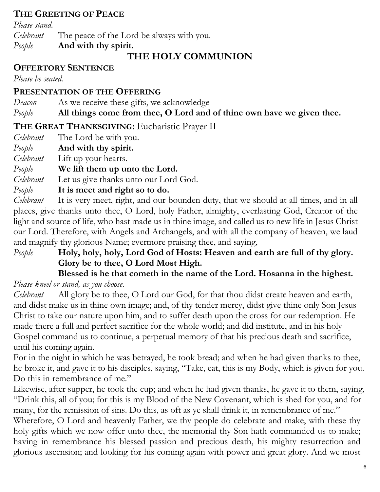## **THE GREETING OF PEACE**

*Please stand. Celebrant* The peace of the Lord be always with you. *People* **And with thy spirit.**

## **THE HOLY COMMUNION**

## **OFFERTORY SENTENCE**

*Please be seated.*

#### **PRESENTATION OF THE OFFERING**

*Deacon* As we receive these gifts, we acknowledge

*People* **All things come from thee, O Lord and of thine own have we given thee.**

## **THE GREAT THANKSGIVING:** Eucharistic Prayer II

*Celebrant* The Lord be with you.

*People* **And with thy spirit.**

- *Celebrant* Lift up your hearts.
- *People* **We lift them up unto the Lord.**

*Celebrant* Let us give thanks unto our Lord God.

## *People* **It is meet and right so to do.**

*Celebrant* It is very meet, right, and our bounden duty, that we should at all times, and in all places, give thanks unto thee, O Lord, holy Father, almighty, everlasting God, Creator of the light and source of life, who hast made us in thine image, and called us to new life in Jesus Christ our Lord. Therefore, with Angels and Archangels, and with all the company of heaven, we laud and magnify thy glorious Name; evermore praising thee, and saying,

*People* **Holy, holy, holy, Lord God of Hosts: Heaven and earth are full of thy glory. Glory be to thee, O Lord Most High. Blessed is he that cometh in the name of the Lord. Hosanna in the highest.**

## *Please kneel or stand, as you choose.*

*Celebrant* All glory be to thee, O Lord our God, for that thou didst create heaven and earth, and didst make us in thine own image; and, of thy tender mercy, didst give thine only Son Jesus Christ to take our nature upon him, and to suffer death upon the cross for our redemption. He made there a full and perfect sacrifice for the whole world; and did institute, and in his holy Gospel command us to continue, a perpetual memory of that his precious death and sacrifice, until his coming again.

For in the night in which he was betrayed, he took bread; and when he had given thanks to thee, he broke it, and gave it to his disciples, saying, "Take, eat, this is my Body, which is given for you. Do this in remembrance of me."

Likewise, after supper, he took the cup; and when he had given thanks, he gave it to them, saying, "Drink this, all of you; for this is my Blood of the New Covenant, which is shed for you, and for many, for the remission of sins. Do this, as oft as ye shall drink it, in remembrance of me."

Wherefore, O Lord and heavenly Father, we thy people do celebrate and make, with these thy holy gifts which we now offer unto thee, the memorial thy Son hath commanded us to make; having in remembrance his blessed passion and precious death, his mighty resurrection and glorious ascension; and looking for his coming again with power and great glory. And we most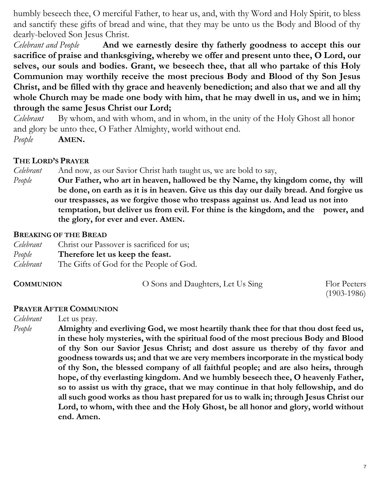humbly beseech thee, O merciful Father, to hear us, and, with thy Word and Holy Spirit, to bless and sanctify these gifts of bread and wine, that they may be unto us the Body and Blood of thy dearly-beloved Son Jesus Christ.

*Celebrant and People* **And we earnestly desire thy fatherly goodness to accept this our sacrifice of praise and thanksgiving, whereby we offer and present unto thee, O Lord, our selves, our souls and bodies. Grant, we beseech thee, that all who partake of this Holy Communion may worthily receive the most precious Body and Blood of thy Son Jesus Christ, and be filled with thy grace and heavenly benediction; and also that we and all thy whole Church may be made one body with him, that he may dwell in us, and we in him; through the same Jesus Christ our Lord;** 

*Celebrant* By whom, and with whom, and in whom, in the unity of the Holy Ghost all honor and glory be unto thee, O Father Almighty, world without end. *People* **AMEN.**

#### **THE LORD'S PRAYER**

*Celebrant* And now, as our Savior Christ hath taught us, we are bold to say,

*People* **Our Father, who art in heaven, hallowed be thy Name, thy kingdom come, thy will be done, on earth as it is in heaven. Give us this day our daily bread. And forgive us our trespasses, as we forgive those who trespass against us. And lead us not into temptation, but deliver us from evil. For thine is the kingdom, and the power, and the glory, for ever and ever. AMEN.**

#### **BREAKING OF THE BREAD**

| Celebrant | Christ our Passover is sacrificed for us; |  |
|-----------|-------------------------------------------|--|
| People    | Therefore let us keep the feast.          |  |
| Celebrant | The Gifts of God for the People of God.   |  |

**COMMUNION** O Sons and Daughters, Let Us Sing Flor Peeters

(1903-1986)

#### **PRAYER AFTER COMMUNION**

*Celebrant* Let us pray.

*People* **Almighty and everliving God, we most heartily thank thee for that thou dost feed us, in these holy mysteries, with the spiritual food of the most precious Body and Blood of thy Son our Savior Jesus Christ; and dost assure us thereby of thy favor and goodness towards us; and that we are very members incorporate in the mystical body of thy Son, the blessed company of all faithful people; and are also heirs, through hope, of thy everlasting kingdom. And we humbly beseech thee, O heavenly Father, so to assist us with thy grace, that we may continue in that holy fellowship, and do all such good works as thou hast prepared for us to walk in; through Jesus Christ our Lord, to whom, with thee and the Holy Ghost, be all honor and glory, world without end. Amen.**